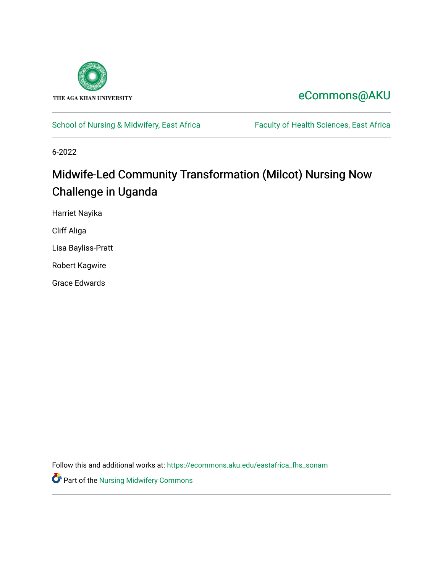

# [eCommons@AKU](https://ecommons.aku.edu/)

# [School of Nursing & Midwifery, East Africa](https://ecommons.aku.edu/eastafrica_fhs_sonam) Faculty of Health Sciences, East Africa

6-2022

# Midwife-Led Community Transformation (Milcot) Nursing Now Challenge in Uganda

Harriet Nayika

Cliff Aliga

Lisa Bayliss-Pratt

Robert Kagwire

Grace Edwards

Follow this and additional works at: [https://ecommons.aku.edu/eastafrica\\_fhs\\_sonam](https://ecommons.aku.edu/eastafrica_fhs_sonam?utm_source=ecommons.aku.edu%2Feastafrica_fhs_sonam%2F417&utm_medium=PDF&utm_campaign=PDFCoverPages) 

Part of the [Nursing Midwifery Commons](https://network.bepress.com/hgg/discipline/722?utm_source=ecommons.aku.edu%2Feastafrica_fhs_sonam%2F417&utm_medium=PDF&utm_campaign=PDFCoverPages)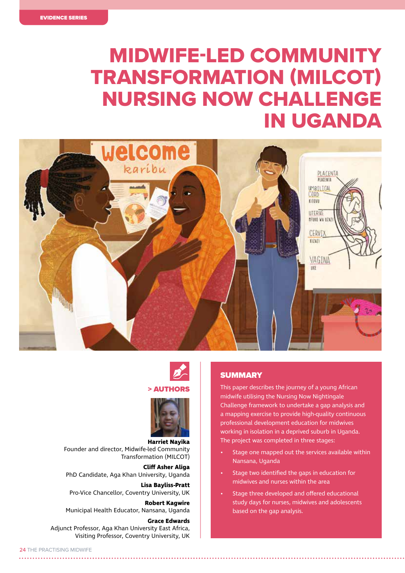# MIDWIFE-LED COMMUNITY TRANSFORMATION (MILCOT) NURSING NOW CHALLENGE IN UGANDA





#### **> AUTHOR**



**Harriet Nayika** Founder and director, Midwife-led Community Transformation (MILCOT)

**Cliff Asher Aliga** PhD Candidate, Aga Khan University, Uganda

**Lisa Bayliss-Pratt** Pro-Vice Chancellor, Coventry University, UK

**Robert Kagwire** Municipal Health Educator, Nansana, Uganda

**Grace Edwards** Adjunct Professor, Aga Khan University East Africa, Visiting Professor, Coventry University, UK

# **SUMMARY**

This paper describes the journey of a young African midwife utilising the Nursing Now Nightingale Challenge framework to undertake a gap analysis and a mapping exercise to provide high-quality continuous professional development education for midwives working in isolation in a deprived suburb in Uganda. The project was completed in three stages:

- Stage one mapped out the services available within Nansana, Uganda
- Stage two identified the gaps in education for midwives and nurses within the area
- Stage three developed and offered educational study days for nurses, midwives and adolescents based on the gap analysis.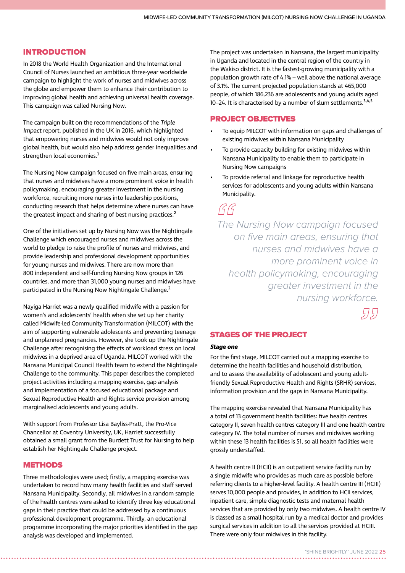### INTRODUCTION

In 2018 the World Health Organization and the International Council of Nurses launched an ambitious three-year worldwide campaign to highlight the work of nurses and midwives across the globe and empower them to enhance their contribution to improving global health and achieving universal health coverage. This campaign was called Nursing Now.

The campaign built on the recommendations of the Triple Impact report, published in the UK in 2016, which highlighted that empowering nurses and midwives would not only improve global health, but would also help address gender inequalities and strengthen local economies.<sup>1</sup>

The Nursing Now campaign focused on five main areas, ensuring that nurses and midwives have a more prominent voice in health policymaking, encouraging greater investment in the nursing workforce, recruiting more nurses into leadership positions, conducting research that helps determine where nurses can have the greatest impact and sharing of best nursing practices.<sup>2</sup>

One of the initiatives set up by Nursing Now was the Nightingale Challenge which encouraged nurses and midwives across the world to pledge to raise the profile of nurses and midwives, and provide leadership and professional development opportunities for young nurses and midwives. There are now more than 800 independent and self-funding Nursing Now groups in 126 countries, and more than 31,000 young nurses and midwives have participated in the Nursing Now Nightingale Challenge.<sup>2</sup>

Nayiga Harriet was a newly qualified midwife with a passion for women's and adolescents' health when she set up her charity called Midwife-led Community Transformation (MILCOT) with the aim of supporting vulnerable adolescents and preventing teenage and unplanned pregnancies. However, she took up the Nightingale Challenge after recognising the effects of workload stress on local midwives in a deprived area of Uganda. MILCOT worked with the Nansana Municipal Council Health team to extend the Nightingale Challenge to the community. This paper describes the completed project activities including a mapping exercise, gap analysis and implementation of a focused educational package and Sexual Reproductive Health and Rights service provision among marginalised adolescents and young adults.

With support from Professor Lisa Bayliss-Pratt, the Pro-Vice Chancellor at Coventry University, UK, Harriet successfully obtained a small grant from the Burdett Trust for Nursing to help establish her Nightingale Challenge project.

#### **METHODS**

Three methodologies were used; firstly, a mapping exercise was undertaken to record how many health facilities and staff served Nansana Municipality. Secondly, all midwives in a random sample of the health centres were asked to identify three key educational gaps in their practice that could be addressed by a continuous professional development programme. Thirdly, an educational programme incorporating the major priorities identified in the gap analysis was developed and implemented.

The project was undertaken in Nansana, the largest municipality in Uganda and located in the central region of the country in the Wakiso district. It is the fastest-growing municipality with a population growth rate of 4.1% – well above the national average of 3.1%. The current projected population stands at 465,000 people, of which 186,236 are adolescents and young adults aged 10–24. It is characterised by a number of slum settlements.<sup>3,4,5</sup>

### PROJECT OBJECTIVES

- To equip MILCOT with information on gaps and challenges of existing midwives within Nansana Municipality
- To provide capacity building for existing midwives within Nansana Municipality to enable them to participate in Nursing Now campaigns
- To provide referral and linkage for reproductive health services for adolescents and young adults within Nansana Municipality.

 $GG$ 

 *The Nursing Now campaign focused on five main areas, ensuring that nurses and midwives have a more prominent voice in health policymaking, encouraging greater investment in the nursing workforce.*

5157

## STAGES OF THE PROJECT

### **Stage one**

For the first stage, MILCOT carried out a mapping exercise to determine the health facilities and household distribution, and to assess the availability of adolescent and young adultfriendly Sexual Reproductive Health and Rights (SRHR) services, information provision and the gaps in Nansana Municipality.

The mapping exercise revealed that Nansana Municipality has a total of 13 government health facilities: five health centres category II, seven health centres category III and one health centre category IV. The total number of nurses and midwives working within these 13 health facilities is 51, so all health facilities were grossly understaffed.

A health centre II (HCII) is an outpatient service facility run by a single midwife who provides as much care as possible before referring clients to a higher-level facility. A health centre III (HCIII) serves 10,000 people and provides, in addition to HCII services, inpatient care, simple diagnostic tests and maternal health services that are provided by only two midwives. A health centre IV is classed as a small hospital run by a medical doctor and provides surgical services in addition to all the services provided at HCIII. There were only four midwives in this facility.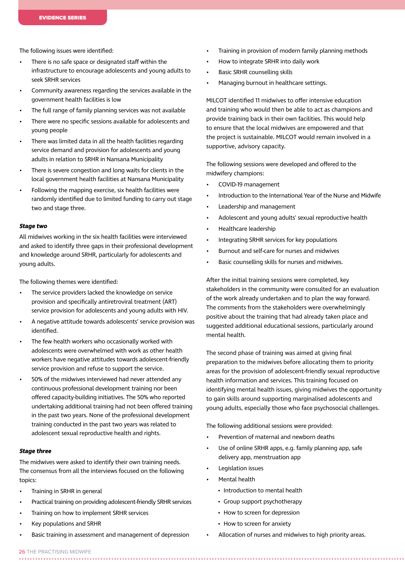The following issues were identified:

- There is no safe space or designated staff within the infrastructure to encourage adolescents and young adults to seek SRHR services
- Community awareness regarding the services available in the government health facilities is low
- The full range of family planning services was not available
- There were no specific sessions available for adolescents and young people
- There was limited data in all the health facilities regarding service demand and provision for adolescents and young adults in relation to SRHR in Nansana Municipality
- There is severe congestion and long waits for clients in the local government health facilities at Nansana Municipality
- Following the mapping exercise, six health facilities were randomly identified due to limited funding to carry out stage two and stage three.

#### **Stage two**

All midwives working in the six health facilities were interviewed and asked to identify three gaps in their professional development and knowledge around SRHR, particularly for adolescents and young adults.

The following themes were identified:

- The service providers lacked the knowledge on service provision and specifically antiretroviral treatment (ART) service provision for adolescents and young adults with HIV.
- A negative attitude towards adolescents' service provision was identified.
- The few health workers who occasionally worked with adolescents were overwhelmed with work as other health workers have negative attitudes towards adolescent-friendly service provision and refuse to support the service.
- 50% of the midwives interviewed had never attended any continuous professional development training nor been offered capacity-building initiatives. The 50% who reported undertaking additional training had not been offered training in the past two years. None of the professional development training conducted in the past two years was related to adolescent sexual reproductive health and rights.

#### **Stage three**

The midwives were asked to identify their own training needs. The consensus from all the interviews focused on the following topics:

- Training in SRHR in general
- Practical training on providing adolescent-friendly SRHR services
- Training on how to implement SRHR services
- Key populations and SRHR
- Basic training in assessment and management of depression
- Training in provision of modern family planning methods
- How to integrate SRHR into daily work
- Basic SRHR counselling skills
- Managing burnout in healthcare settings.

MILCOT identified 11 midwives to offer intensive education and training who would then be able to act as champions and provide training back in their own facilities. This would help to ensure that the local midwives are empowered and that the project is sustainable. MILCOT would remain involved in a supportive, advisory capacity.

The following sessions were developed and offered to the midwifery champions:

- COVID-19 management
- Introduction to the International Year of the Nurse and Midwife
- Leadership and management
- Adolescent and young adults' sexual reproductive health
- Healthcare leadership
- Integrating SRHR services for key populations
- Burnout and self-care for nurses and midwives
- Basic counselling skills for nurses and midwives.

After the initial training sessions were completed, key stakeholders in the community were consulted for an evaluation of the work already undertaken and to plan the way forward. The comments from the stakeholders were overwhelmingly positive about the training that had already taken place and suggested additional educational sessions, particularly around mental health.

The second phase of training was aimed at giving final preparation to the midwives before allocating them to priority areas for the provision of adolescent-friendly sexual reproductive health information and services. This training focused on identifying mental health issues, giving midwives the opportunity to gain skills around supporting marginalised adolescents and young adults, especially those who face psychosocial challenges.

The following additional sessions were provided:

- Prevention of maternal and newborn deaths
- Use of online SRHR apps, e.g. family planning app, safe delivery app, menstruation app
- Legislation issues
- Mental health
	- Introduction to mental health
	- Group support psychotherapy
	- How to screen for depression
	- How to screen for anxiety
- Allocation of nurses and midwives to high priority areas.

26 THE PRACTISING MIDWIFE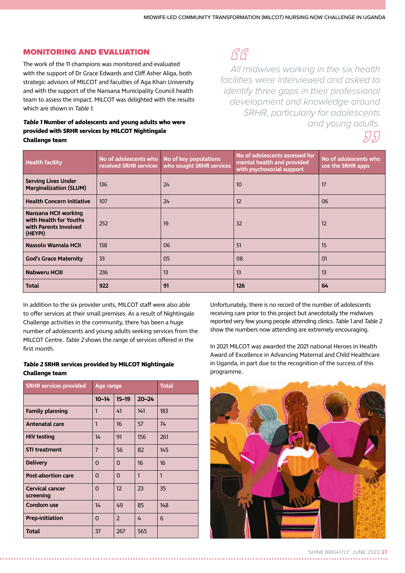# MONITORING AND EVALUATION

The work of the 11 champions was monitored and evaluated with the support of Dr Grace Edwards and Cliff Asher Aliga, both strategic advisors of MILCOT and faculties of Aga Khan University and with the support of the Nansana Municipality Council health team to assess the impact. MILCOT was delighted with the results which are shown in Table 1.

# **Table 1 Number of adolescents and young adults who were provided with SRHR services by MILCOT Nightingale Challenge team**

 $GG$ 

 *All midwives working in the six health facilities were interviewed and asked to identify three gaps in their professional development and knowledge around SRHR, particularly for adolescents and young adults.*

5157

| <b>Health facility</b>                                                             | No of adolescents who No of key populations<br>received SRHR services | who sought SRHR services | No of adolescents assessed for<br>mental health and provided<br>with psychosocial support | No of adolescents who<br>use the SRHR apps |
|------------------------------------------------------------------------------------|-----------------------------------------------------------------------|--------------------------|-------------------------------------------------------------------------------------------|--------------------------------------------|
| <b>Serving Lives Under</b><br><b>Marginalization (SLUM)</b>                        | 136                                                                   | 24                       | 10                                                                                        | 17                                         |
| <b>Health Concern Initiative</b>                                                   | 107                                                                   | 24                       | 12                                                                                        | 06                                         |
| Nansana HCII working<br>with Health for Youths<br>with Parents Involved<br>(HEYPI) | 252                                                                   | 19                       | 32                                                                                        | 12                                         |
| Nassolo Wamala HCII                                                                | 158                                                                   | 06                       | 51                                                                                        | 15                                         |
| <b>God's Grace Maternity</b>                                                       | 33                                                                    | 05                       | 08                                                                                        | O <sub>1</sub>                             |
| <b>Nabweru HCIII</b>                                                               | 236                                                                   | 13                       | 13                                                                                        | 13                                         |
| Total                                                                              | 922                                                                   | 91                       | 126                                                                                       | 64                                         |

In addition to the six provider units, MILCOT staff were also able to offer services at their small premises. As a result of Nightingale Challenge activities in the community, there has been a huge number of adolescents and young adults seeking services from the MILCOT Centre. Table 2 shows the range of services offered in the first month.

# **Table 2 SRHR services provided by MILCOT Nightingale Challenge team**

| <b>SRHR services provided</b>       | Age range      |                |           | <b>Total</b> |
|-------------------------------------|----------------|----------------|-----------|--------------|
|                                     | $10 - 14$      | $15 - 19$      | $20 - 24$ |              |
| <b>Family planning</b>              | 1              | 41             | 141       | 183          |
| <b>Antenatal care</b>               | 1              | 16             | 57        | 74           |
| <b>HIV testing</b>                  | 14             | 91             | 156       | 261          |
| <b>STI treatment</b>                | $\overline{7}$ | 56             | 82        | 145          |
| <b>Delivery</b>                     | 0              | 0              | 16        | 16           |
| <b>Post-abortion care</b>           | 0              | $\Omega$       | 1         | $\mathbf{1}$ |
| <b>Cervical cancer</b><br>screening | 0              | 12             | 23        | 35           |
| <b>Condom use</b>                   | 14             | 49             | 85        | 148          |
| <b>Prep-initiation</b>              | 0              | $\overline{2}$ | 4         | 6            |
| <b>Total</b>                        | 37             | 267            | 565       |              |

Unfortunately, there is no record of the number of adolescents receiving care prior to this project but anecdotally the midwives reported very few young people attending clinics. Table 1 and Table 2 show the numbers now attending are extremely encouraging.

In 2021 MILCOT was awarded the 2021 national Heroes in Health Award of Excellence in Advancing Maternal and Child Healthcare in Uganda, in part due to the recognition of the success of this programme.